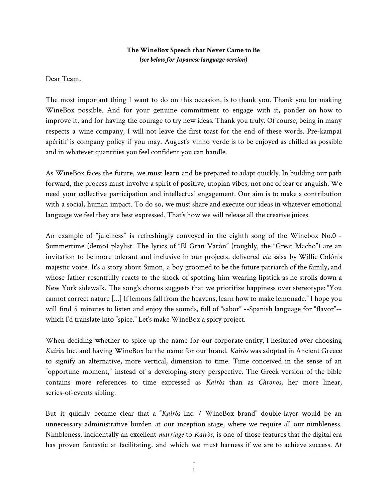## **The WineBox Speech that Never Came to Be (***see below for Japaneselanguage version***)**

Dear Team,

The most important thing I want to do on this occasion, is to thank you. Thank you for making WineBox possible. And for your genuine commitment to engage with it, ponder on how to improve it, and for having the courage to try new ideas. Thank you truly. Of course, being in many respects a wine company, I will not leave the first toast for the end of these words. Pre-kampai apéritif is company policy if you may. August's vinho verde is to be enjoyed as chilled as possible and in whatever quantities you feel confident you can handle.

As WineBox faces the future, we must learn and be prepared to adapt quickly. In building our path forward, the process must involve a spirit of positive, utopian vibes, not one of fear or anguish. We need your collective participation and intellectual engagement. Our aim is to make a contribution with a social, human impact. To do so, we must share and execute our ideas in whatever emotional language we feel they are best expressed. That's how we will release all the creative juices.

An example of "juiciness" is refreshingly conveyed in the eighth song of the Winebox No.0 - Summertime (demo) playlist. The lyrics of "El Gran Varón" (roughly, the "Great Macho") are an invitation to be more tolerant and inclusive in our projects, delivered *via* salsa by Willie Colón's majestic voice. It's a story about Simon, a boy groomed to be the future patriarch of the family, and whose father resentfully reacts to the shock of spotting him wearing lipstick as he strolls down a New York sidewalk. The song's chorus suggests that we prioritize happiness over stereotype: "You cannot correct nature [...] If lemons fall from the heavens, learn how to make lemonade." I hope you will find 5 minutes to listen and enjoy the sounds, full of "sabor" --Spanish language for "flavor"-which I'd translate into "spice." Let's make WineBox a spicy project.

When deciding whether to spice-up the name for our corporate entity, I hesitated over choosing *Kairòs* Inc. and having WineBox be the name for our brand. *Kairòs* was adopted in Ancient Greece to signify an alternative, more vertical, dimension to time. Time conceived in the sense of an "opportune moment," instead of a developing-story perspective. The Greek version of the bible contains more references to time expressed as *Kairòs* than as *Chronos*, her more linear, series-of-events sibling.

But it quickly became clear that a "*Kairòs* Inc. / WineBox brand" double-layer would be an unnecessary administrative burden at our inception stage, where we require all our nimbleness. Nimbleness, incidentally an excellent *marriage* to *Kairòs*, is one of those features that the digital era has proven fantastic at facilitating, and which we must harness if we are to achieve success. At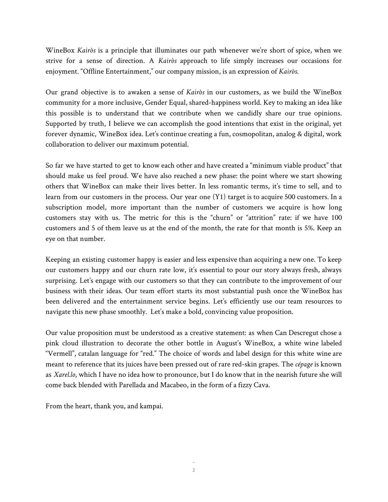WineBox *Kairòs* is a principle that illuminates our path whenever we're short of spice, when we strive for a sense of direction. A *Kairòs* approach to life simply increases our occasions for enjoyment. "Offline Entertainment," our company mission, is an expression of *Kairòs*.

Our grand objective is to awaken a sense of *Kairòs* in our customers, as we build the WineBox community for a more inclusive, Gender Equal, shared-happiness world. Key to making an idea like this possible is to understand that we contribute when we candidly share our true opinions. Supported by truth, I believe we can accomplish the good intentions that exist in the original, yet forever dynamic, WineBox idea. Let's continue creating a fun, cosmopolitan, analog & digital, work collaboration to deliver our maximum potential.

So far we have started to get to know each other and have created a "minimum viable product" that should make us feel proud. We have also reached a new phase: the point where we start showing others that WineBox can make their lives better. In less romantic terms, it's time to sell, and to learn from our customers in the process. Our year one (Y1) target is to acquire 500 customers. In a subscription model, more important than the number of customers we acquire is how long customers stay with us. The metric for this is the "churn" or "attrition" rate: if we have 100 customers and 5 of them leave us at the end of the month, the rate for that month is 5%. Keep an eye on that number.

Keeping an existing customer happy is easier and less expensive than acquiring a new one. To keep our customers happy and our churn rate low, it's essential to pour our story always fresh, always surprising. Let's engage with our customers so that they can contribute to the improvement of our business with their ideas. Our team effort starts its most substantial push once the WineBox has been delivered and the entertainment service begins. Let's efficiently use our team resources to navigate this new phase smoothly. Let's make a bold, convincing value proposition.

Our value proposition must be understood as a creative statement: as when Can Descregut chose a pink cloud illustration to decorate the other bottle in August's WineBox, a white wine labeled "Vermell", catalan language for "red." The choice of words and label design for this white wine are meant to reference that its juices have been pressed out of rare red-skin grapes. The *cépage* is known as *Xarel.lo*, which I have no idea how to pronounce, but I do know that in the nearish future she will come back blended with Parellada and Macabeo, in the form of a fizzy Cava.

From the heart, thank you, and kampai.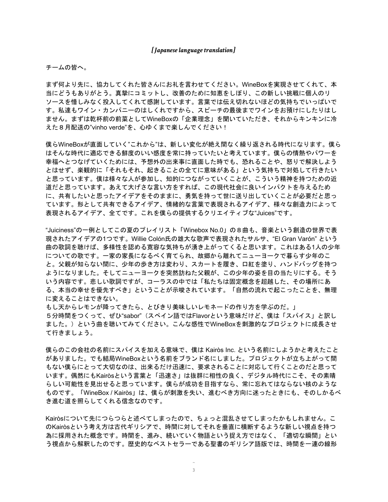## *[Japaneselanguagetranslation]*

## チームの皆へ。

まず何より先に、協力してくれた皆さんにお礼を言わせてください。WineBoxを実現させてくれて、本 当にどうもありがとう。真摯にコミットし、改善のために知恵をしぼり、この新しい挑戦に個人のリ ソースを惜しみなく投入してくれて感謝しています。言葉では伝え切れないほどの気持ちでいっぱいで す。私達もワイン・カンパニーのはしくれですから、スピーチの最後までワインをお預けにしたりはし ません。まずは乾杯前の前菜としてWineBoxの「企業理念」を聞いていただき、それからキンキンに冷 えた8月配送の"vinho verde"を、心ゆくまで楽しんでください!

僕らWineBoxが直面していく"これから"は、新しい変化が絶え間なく繰り返される時代になります。僕ら はそんな時代に適応できる鮮度のいい感度を常に持っていたいと考えています。僕らの情熱やパワーを 幸福へとつなげていくためには、予想外の出来事に直面した時でも、恐れることや、怒りで解決しよう とはせず、楽観的に「それもそれ、起きることの全てに意味がある」という気持ちで対処して行きたい と思っています。僕は様々な人が参加し、知的につながっていくことが、こういう精神を持つための近 道だと思っています。あえて大げさな言い方をすれば、この現代社会に良いインパクトを与えるため に、共有したいと思ったアイデアをそのままに、勇気を持って世に送り出していくことが必要だと思っ ています。形として共有できるアイデア、情緒的な言葉で表現されるアイデア、様々な創造力によって 表現されるアイデア、全てです。これを僕らの提供するクリエイティブな"Juices"です。

"Juiciness"の一例としてこの夏のプレイリスト「Winebox No.0」の8曲も、音楽という創造の世界で表 現されたアイデアの1つです。Willie Colón氏の雄大な歌声で表現されたサルサ、"El Gran Varón" という 曲の歌詞を聴けば、多様性を認める寛容な気持ちが湧き上がってくると思います。これはある1人の少年 についての歌です。一家の家長になるべく育てられ、故郷から離れてニューヨークで暮らす少年のこ と。父親が知らない間に、少年の歩き方は変わり、スカートを履き、口紅を塗り、ハンドバッグを持つ ようになりました。そしてニューヨークを突然訪ねた父親が、この少年の姿を目の当たりにする。そう いう内容です。悲しい歌詞ですが、コーラスの中では「私たちは固定概念を超越した、その場所にあ る、本当の幸せを優先すべき」ということが示唆されています。「自然の流れで起こったことを、無理 に変えることはできない。

もし天からレモンが降ってきたら、とびきり美味しいレモネードの作り方を学ぶのだ。」 5分時間をつくって、ぜひ"sabor"(スペイン語ではFlavorという意味だけど、僕は「スパイス」と訳し ました。)という曲を聴いてみてください。こんな感性でWineBoxを刺激的なプロジェクトに成長させ て行きましょう。

僕らのこの会社の名前にスパイスを加える意味で、僕は Kairòs Inc. という名前にしようかと考えたこと がありました。でも結局WineBoxという名前をブランド名にしました。プロジェクトが立ち上がって間 もない僕らにとって大切なのは、出来るだけ迅速に、要求されることに対応して行くことのだと思って います。偶然にもKairòsという言葉と「迅速さ」は抜群に相性の良く、デジタル時代にこそ、その素晴 らしい可能性を見出せると思っています。僕らが成功を目指すなら、常に忘れてはならない核のような ものです。「WineBox / Kairòs」は、僕らが刺激を失い、進むべき方向に迷ったときにも、そのしかるべ き進む道を照らしてくれる信念なのです。

Kairòsについて先につらつらと述べてしまったので、ちょっと混乱させてしまったかもしれません。こ のKairòsという考え方は古代ギリシアで、時間に対してそれを垂直に横断するような新しい視点を持つ 為に採用された概念です。時間を、進み、続いていく物語という捉え方ではなく、「適切な瞬間」とい う視点から解釈したのです。歴史的なベストセラーである聖書のギリシア語版では、時間を一連の線形